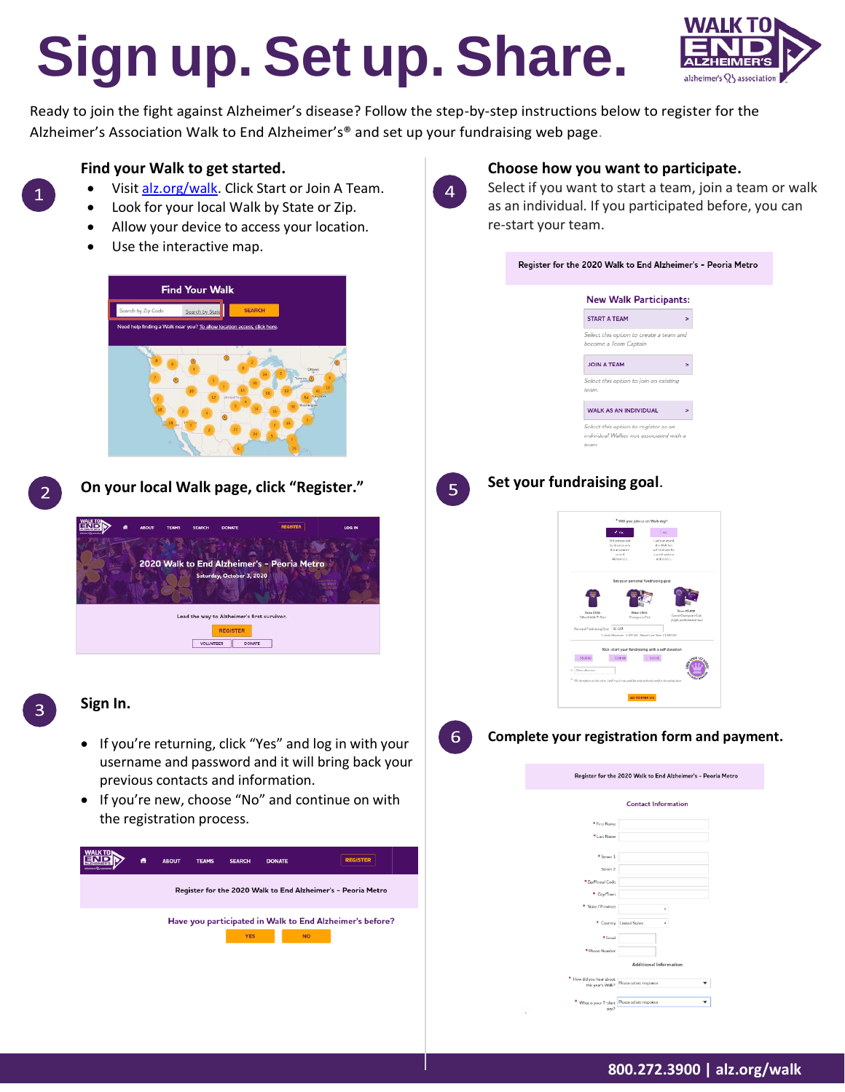# **Sign up. Set up. Share.**



Ready to join the fight against Alzheimer's disease? Follow the step-by-step instructions below to register for the Alzheimer's Association Walk to End Alzheimer's® and set up your fundraising web page.

# **Find your Walk to get started.**

- Visit [alz.org/walk.](http://alz.org/walk) Click Start or Join A Team.
- Look for your local Walk by State or Zip.
- Allow your device to access your location.
- Use the interactive map.





**On your local Walk page, click "Register."**



# **Sign In.**

- If you're returning, click "Yes" and log in with your username and password and it will bring back your previous contacts and information.
- If you're new, choose "No" and continue on with the registration process.





# **Choose how you want to participate.**

Select if you want to start a team, join a team or walk as an individual. If you participated before, you can re-start your team.

|    | Register for the 2020 Walk to End Alzheimer's - Peoria Metro                                                                                                                                                                                                                                                                                   |
|----|------------------------------------------------------------------------------------------------------------------------------------------------------------------------------------------------------------------------------------------------------------------------------------------------------------------------------------------------|
|    | <b>New Walk Participants:</b>                                                                                                                                                                                                                                                                                                                  |
|    | <b>START A TEAM</b><br>×                                                                                                                                                                                                                                                                                                                       |
|    | Select this option to create a team and<br>become a Team Captain                                                                                                                                                                                                                                                                               |
|    | <b>JOIN A TEAM</b><br>×                                                                                                                                                                                                                                                                                                                        |
|    | Select this option to join an existing<br>team.                                                                                                                                                                                                                                                                                                |
|    | WALK AS AN INDIVIDUAL<br>s                                                                                                                                                                                                                                                                                                                     |
|    | Select this option to register as an<br>individual Walker not associated with a<br>team                                                                                                                                                                                                                                                        |
| 5  | Set your fundraising goal.<br>* Will you join us on Walk day?<br>$\sim$ $\sigma$ $_{\rm 80}$ .<br>$4 \text{ ms}$<br><b>Incontract IT</b><br>I will not serred<br>e there to join<br>the Walk has<br>the movem<br>to ond<br>will fundraise for<br>a world without<br>Alzheimer's.<br>Altheimer's                                                |
|    | Set your personal fundraising goal<br>Reise \$100<br>Official Walk T-Shirt<br>* \$50<br>ed Champions Club<br>hampions Club<br>Personal Fundraining Goal: 52,120<br>T-thirt Meirner: \$100.00 Roned Last Year \$1,690.00<br>Kick-start your fundraising with a self donation<br>$5u0000$<br>$\circ$ sittees<br>$\phi$ ssore<br>$0$ Other Amount |
| 6. | $^{\rm 0}$ Ne denotion at this time; I will reach my goal by raising fonds and/or domaing lat<br>GO TO STEP 3/4<br>Complete your registration form and payment.                                                                                                                                                                                |
|    | Register for the 2020 Walk to End Alzheimer's - Peoria Metro                                                                                                                                                                                                                                                                                   |
|    | <b>Contact Information</b>                                                                                                                                                                                                                                                                                                                     |
|    | <sup>*</sup> First Name:                                                                                                                                                                                                                                                                                                                       |
|    | * Last Name:                                                                                                                                                                                                                                                                                                                                   |
|    | * Street 1:                                                                                                                                                                                                                                                                                                                                    |
|    | Street 2:<br>* Zip/Postal Code:                                                                                                                                                                                                                                                                                                                |
|    | * City/Town:                                                                                                                                                                                                                                                                                                                                   |
|    | * State / Province:<br>¥                                                                                                                                                                                                                                                                                                                       |
|    | * Country: United States<br>¥                                                                                                                                                                                                                                                                                                                  |
|    | * Email:                                                                                                                                                                                                                                                                                                                                       |
|    | * Phone Number:<br>Additional Information                                                                                                                                                                                                                                                                                                      |
|    | $\begin{array}{c} \bullet \quad \text{How did you hear about} \\ \text{this year's Walk?} \end{array} \begin{array}{ l } \text{Please select response} \end{array}$<br>▼                                                                                                                                                                       |
|    |                                                                                                                                                                                                                                                                                                                                                |

 $\mathcal{A}(\mathbf{w})$ 

What is your T-shirt Please select response